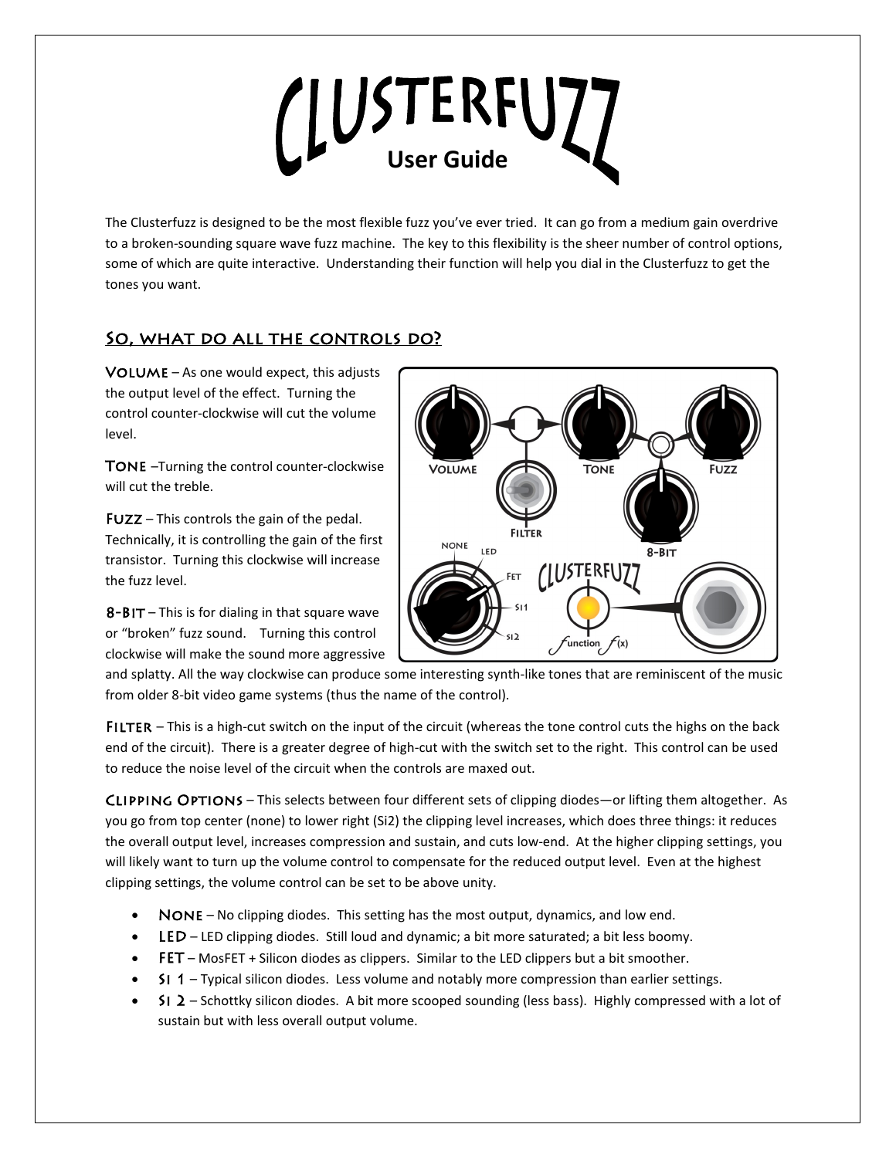# LUSTERFUZZ

The Clusterfuzz is designed to be the most flexible fuzz you've ever tried. It can go from a medium gain overdrive to a broken-sounding square wave fuzz machine. The key to this flexibility is the sheer number of control options, some of which are quite interactive. Understanding their function will help you dial in the Clusterfuzz to get the tones you want.

# SO, WHAT DO ALL THE CONTROLS DO?

 $VOLUME - As one would expect, this adjusts$ the output level of the effect. Turning the control counter-clockwise will cut the volume level.

TONE -Turning the control counter-clockwise will cut the treble.

Fuzz – This controls the gain of the pedal. Technically, it is controlling the gain of the first transistor. Turning this clockwise will increase the fuzz level.

 $8 - B$ IT – This is for dialing in that square wave or "broken" fuzz sound. Turning this control clockwise will make the sound more aggressive



and splatty. All the way clockwise can produce some interesting synth-like tones that are reminiscent of the music from older 8-bit video game systems (thus the name of the control).

FILTER – This is a high-cut switch on the input of the circuit (whereas the tone control cuts the highs on the back end of the circuit). There is a greater degree of high-cut with the switch set to the right. This control can be used to reduce the noise level of the circuit when the controls are maxed out.

Clipping Options – This selects between four different sets of clipping diodes—or lifting them altogether. As you go from top center (none) to lower right (Si2) the clipping level increases, which does three things: it reduces the overall output level, increases compression and sustain, and cuts low-end. At the higher clipping settings, you will likely want to turn up the volume control to compensate for the reduced output level. Even at the highest clipping settings, the volume control can be set to be above unity.

- NONE No clipping diodes. This setting has the most output, dynamics, and low end.
- LED LED clipping diodes. Still loud and dynamic; a bit more saturated; a bit less boomy.
- FET MosFET + Silicon diodes as clippers. Similar to the LED clippers but a bit smoother.
- Si 1 Typical silicon diodes. Less volume and notably more compression than earlier settings.
- SI 2 Schottky silicon diodes. A bit more scooped sounding (less bass). Highly compressed with a lot of sustain but with less overall output volume.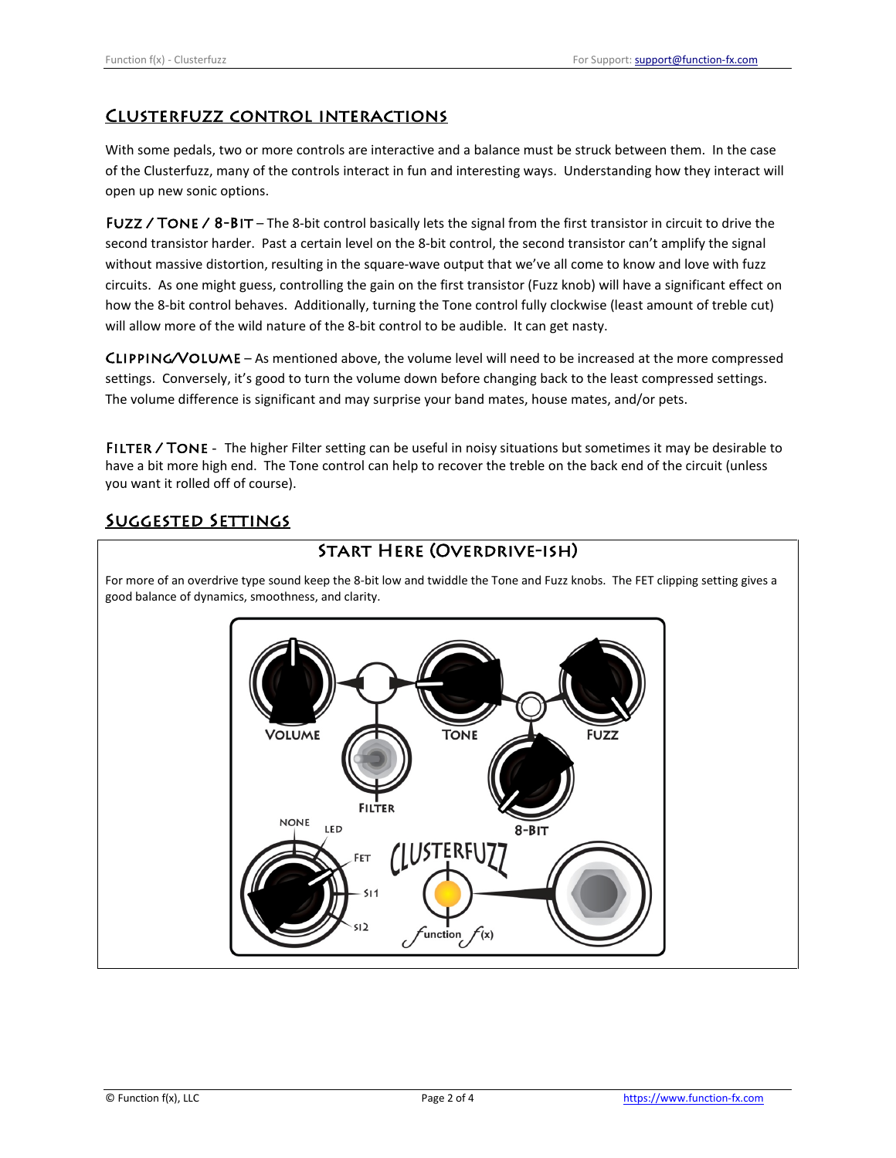### Clusterfuzz control interactions

With some pedals, two or more controls are interactive and a balance must be struck between them. In the case of the Clusterfuzz, many of the controls interact in fun and interesting ways. Understanding how they interact will open up new sonic options.

FUZZ / TONE /  $8-BIT$  – The 8-bit control basically lets the signal from the first transistor in circuit to drive the second transistor harder. Past a certain level on the 8-bit control, the second transistor can't amplify the signal without massive distortion, resulting in the square-wave output that we've all come to know and love with fuzz circuits. As one might guess, controlling the gain on the first transistor (Fuzz knob) will have a significant effect on how the 8-bit control behaves. Additionally, turning the Tone control fully clockwise (least amount of treble cut) will allow more of the wild nature of the 8-bit control to be audible. It can get nasty.

Clipping/Volume – As mentioned above, the volume level will need to be increased at the more compressed settings. Conversely, it's good to turn the volume down before changing back to the least compressed settings. The volume difference is significant and may surprise your band mates, house mates, and/or pets.

FILTER / TONE - The higher Filter setting can be useful in noisy situations but sometimes it may be desirable to have a bit more high end. The Tone control can help to recover the treble on the back end of the circuit (unless you want it rolled off of course).

# Suggested Settings

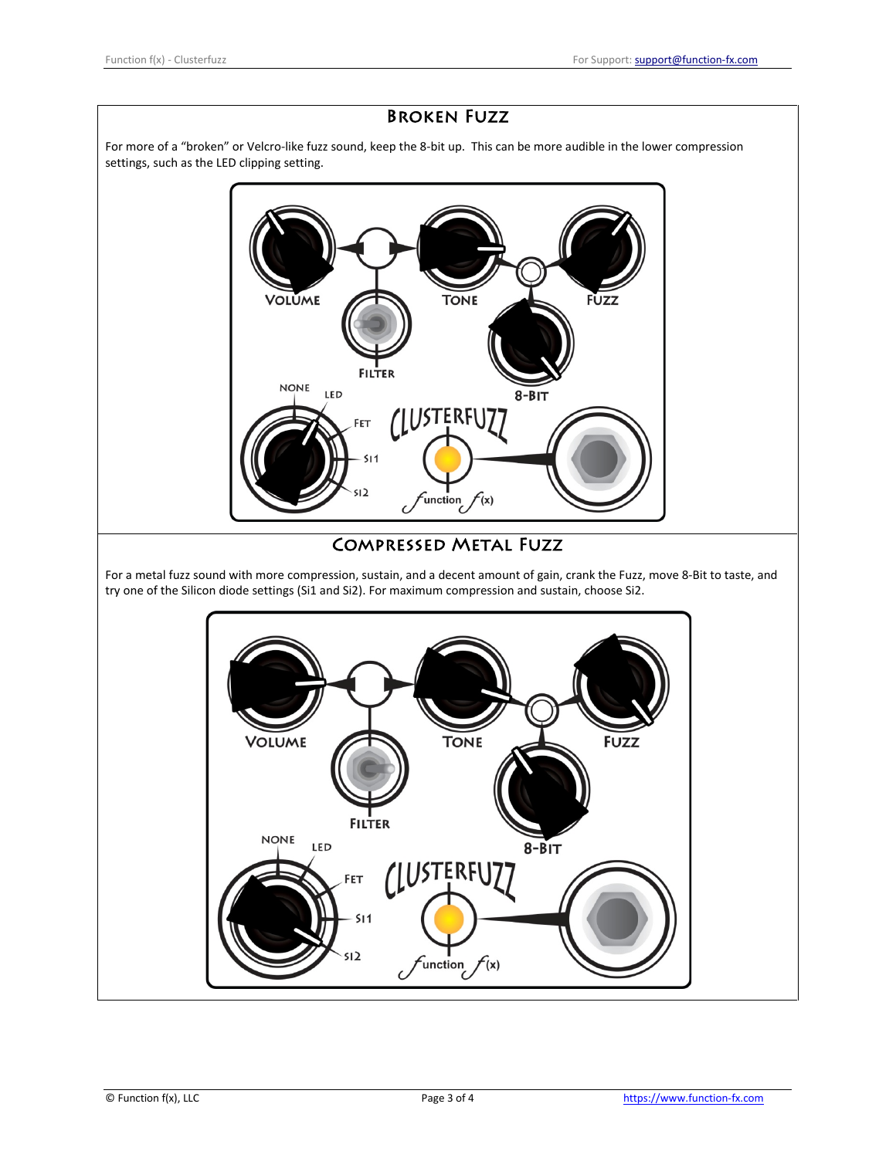